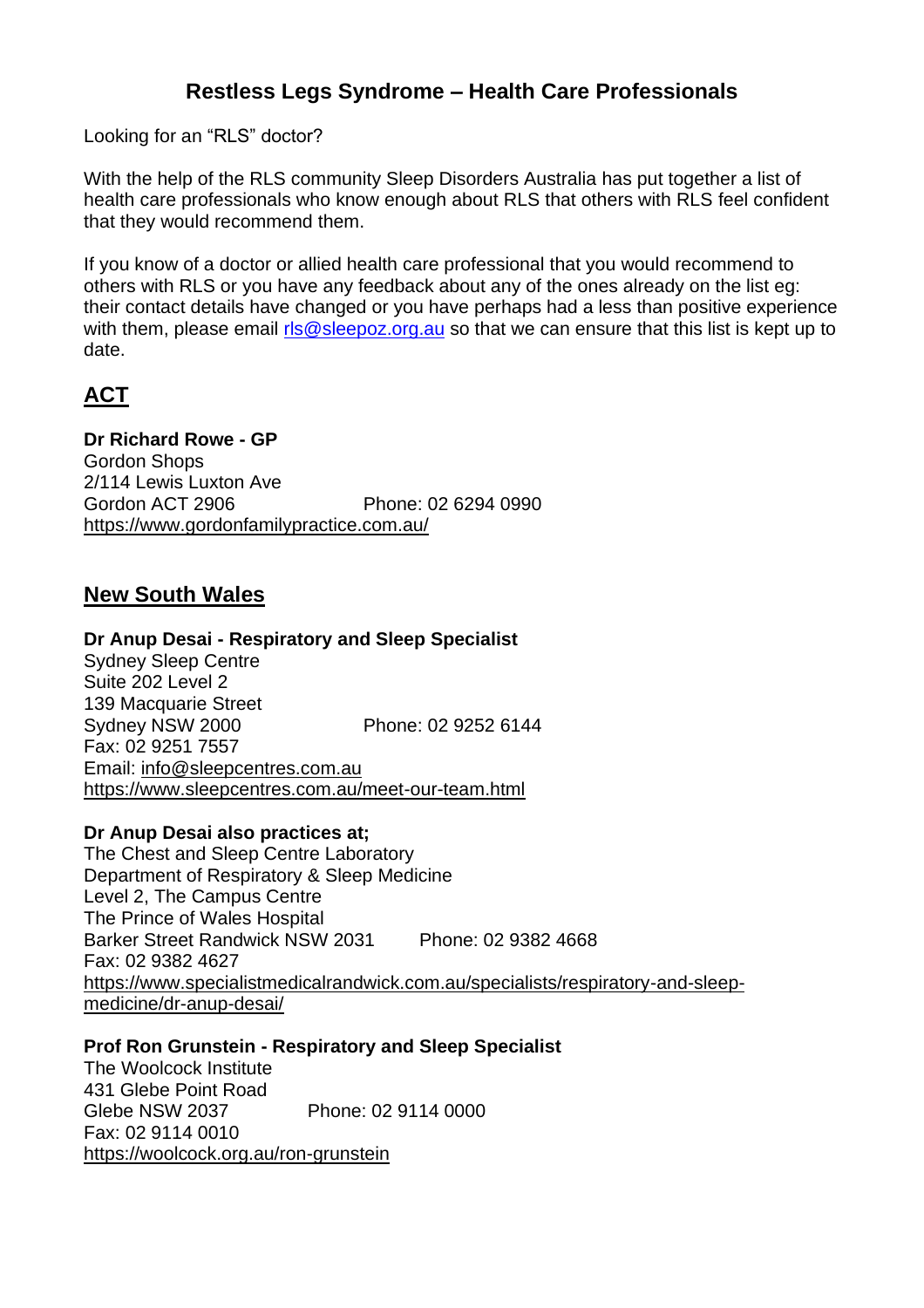# **Restless Legs Syndrome – Health Care Professionals**

Looking for an "RLS" doctor?

With the help of the RLS community Sleep Disorders Australia has put together a list of health care professionals who know enough about RLS that others with RLS feel confident that they would recommend them.

If you know of a doctor or allied health care professional that you would recommend to others with RLS or you have any feedback about any of the ones already on the list eg: their contact details have changed or you have perhaps had a less than positive experience with them, please email [rls@sleepoz.org.au](mailto:rls@sleepoz.org.au) so that we can ensure that this list is kept up to date.

# **ACT**

**Dr Richard Rowe - GP** Gordon Shops 2/114 Lewis Luxton Ave Gordon ACT 2906 Phone: 02 6294 0990 <https://www.gordonfamilypractice.com.au/>

## **New South Wales**

#### **Dr Anup Desai - Respiratory and Sleep Specialist**

Sydney Sleep Centre Suite 202 Level 2 139 Macquarie Street Sydney NSW 2000 Phone: 02 9252 6144 Fax: 02 9251 7557 Email: [info@sleepcentres.com.au](mailto:info@sleepcentres.com.au) <https://www.sleepcentres.com.au/meet-our-team.html>

#### **Dr Anup Desai also practices at;**

The Chest and Sleep Centre Laboratory Department of Respiratory & Sleep Medicine Level 2, The Campus Centre The Prince of Wales Hospital Barker Street Randwick NSW 2031 Phone: 02 9382 4668 Fax: 02 9382 4627 [https://www.specialistmedicalrandwick.com.au/specialists/respiratory-and-sleep](https://www.specialistmedicalrandwick.com.au/specialists/respiratory-and-sleep-medicine/dr-anup-desai/)[medicine/dr-anup-desai/](https://www.specialistmedicalrandwick.com.au/specialists/respiratory-and-sleep-medicine/dr-anup-desai/)

#### **Prof Ron Grunstein - Respiratory and Sleep Specialist**

The Woolcock Institute 431 Glebe Point Road Glebe NSW 2037 Phone: 02 9114 0000 Fax: 02 9114 0010 <https://woolcock.org.au/ron-grunstein>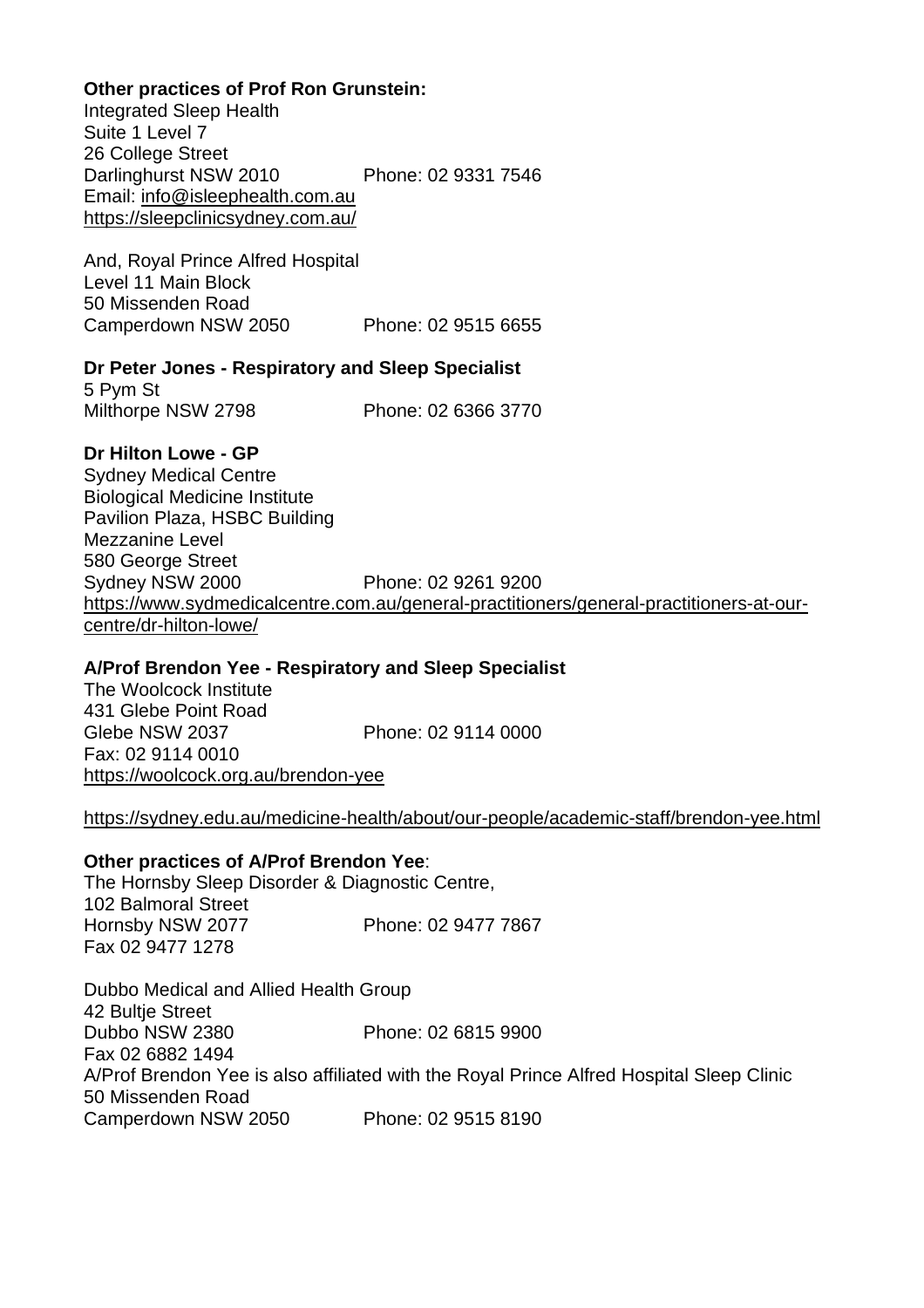#### **Other practices of Prof Ron Grunstein:**

Integrated Sleep Health Suite 1 Level 7 26 College Street Darlinghurst NSW 2010 Phone: 02 9331 7546 Email: [info@isleephealth.com.au](mailto:info@isleephealth.com.au) <https://sleepclinicsydney.com.au/>

And, Royal Prince Alfred Hospital Level 11 Main Block 50 Missenden Road Camperdown NSW 2050 Phone: 02 9515 6655

#### **Dr Peter Jones - Respiratory and Sleep Specialist**

5 Pym St Milthorpe NSW 2798 Phone: 02 6366 3770

#### **Dr Hilton Lowe - GP**

Sydney Medical Centre Biological Medicine Institute Pavilion Plaza, HSBC Building Mezzanine Level 580 George Street Sydney NSW 2000 Phone: 02 9261 9200 [https://www.sydmedicalcentre.com.au/general-practitioners/general-practitioners-at-our](https://www.sydmedicalcentre.com.au/general-practitioners/general-practitioners-at-our-centre/dr-hilton-lowe/)[centre/dr-hilton-lowe/](https://www.sydmedicalcentre.com.au/general-practitioners/general-practitioners-at-our-centre/dr-hilton-lowe/)

#### **A/Prof Brendon Yee - Respiratory and Sleep Specialist**

The Woolcock Institute 431 Glebe Point Road Glebe NSW 2037 Phone: 02 9114 0000 Fax: 02 9114 0010 <https://woolcock.org.au/brendon-yee>

#### <https://sydney.edu.au/medicine-health/about/our-people/academic-staff/brendon-yee.html>

#### **Other practices of A/Prof Brendon Yee**:

The Hornsby Sleep Disorder & Diagnostic Centre, 102 Balmoral Street Hornsby NSW 2077 Phone: 02 9477 7867 Fax 02 9477 1278

Dubbo Medical and Allied Health Group 42 Bultje Street Dubbo NSW 2380 Phone: 02 6815 9900 Fax 02 6882 1494 A/Prof Brendon Yee is also affiliated with the Royal Prince Alfred Hospital Sleep Clinic 50 Missenden Road Camperdown NSW 2050 Phone: 02 9515 8190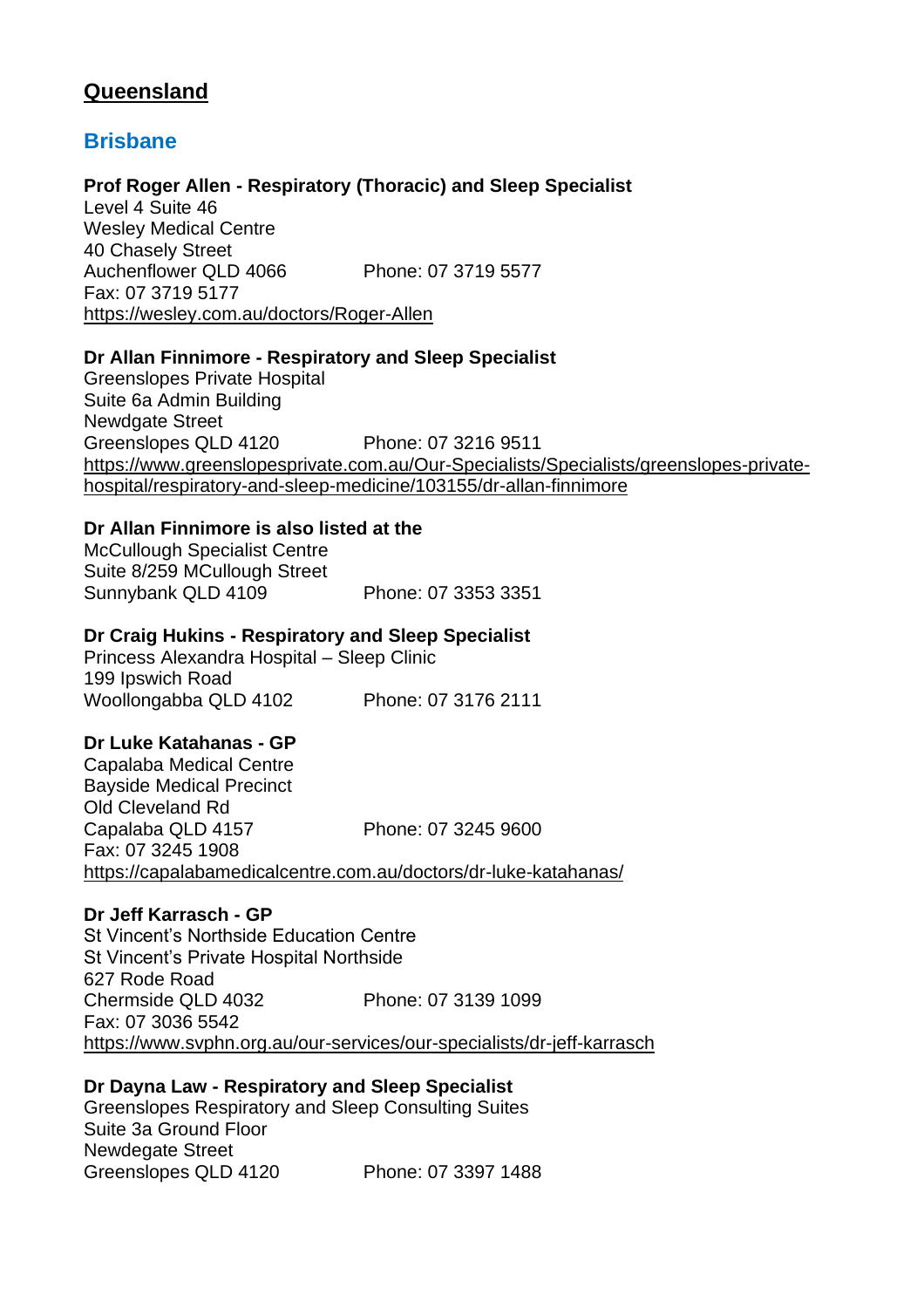# **Queensland**

## **Brisbane**

#### **Prof Roger Allen - Respiratory (Thoracic) and Sleep Specialist**

Level 4 Suite 46 Wesley Medical Centre 40 Chasely Street Auchenflower QLD 4066 Phone: 07 3719 5577 Fax: 07 3719 5177 <https://wesley.com.au/doctors/Roger-Allen>

### **Dr Allan Finnimore - Respiratory and Sleep Specialist**

Greenslopes Private Hospital Suite 6a Admin Building Newdgate Street Greenslopes QLD 4120 Phone: 07 3216 9511 [https://www.greenslopesprivate.com.au/Our-Specialists/Specialists/greenslopes-private](https://www.greenslopesprivate.com.au/Our-Specialists/Specialists/greenslopes-private-hospital/respiratory-and-sleep-medicine/103155/dr-allan-finnimore)[hospital/respiratory-and-sleep-medicine/103155/dr-allan-finnimore](https://www.greenslopesprivate.com.au/Our-Specialists/Specialists/greenslopes-private-hospital/respiratory-and-sleep-medicine/103155/dr-allan-finnimore)

#### **Dr Allan Finnimore is also listed at the**

McCullough Specialist Centre Suite 8/259 MCullough Street Sunnybank QLD 4109 Phone: 07 3353 3351

#### **Dr Craig Hukins - Respiratory and Sleep Specialist**

Princess Alexandra Hospital – Sleep Clinic 199 Ipswich Road Woollongabba QLD 4102 Phone: 07 3176 2111

### **Dr Luke Katahanas - GP**

Capalaba Medical Centre Bayside Medical Precinct Old Cleveland Rd Capalaba QLD 4157 Phone: 07 3245 9600 Fax: 07 3245 1908 <https://capalabamedicalcentre.com.au/doctors/dr-luke-katahanas/>

#### **Dr Jeff Karrasch - GP**

St Vincent's Northside Education Centre St Vincent's Private Hospital Northside 627 Rode Road Chermside QLD 4032 Phone: 07 3139 1099 Fax: 07 3036 5542 <https://www.svphn.org.au/our-services/our-specialists/dr-jeff-karrasch>

#### **Dr Dayna Law - Respiratory and Sleep Specialist**

Greenslopes Respiratory and Sleep Consulting Suites Suite 3a Ground Floor Newdegate Street Greenslopes QLD 4120 Phone: 07 3397 1488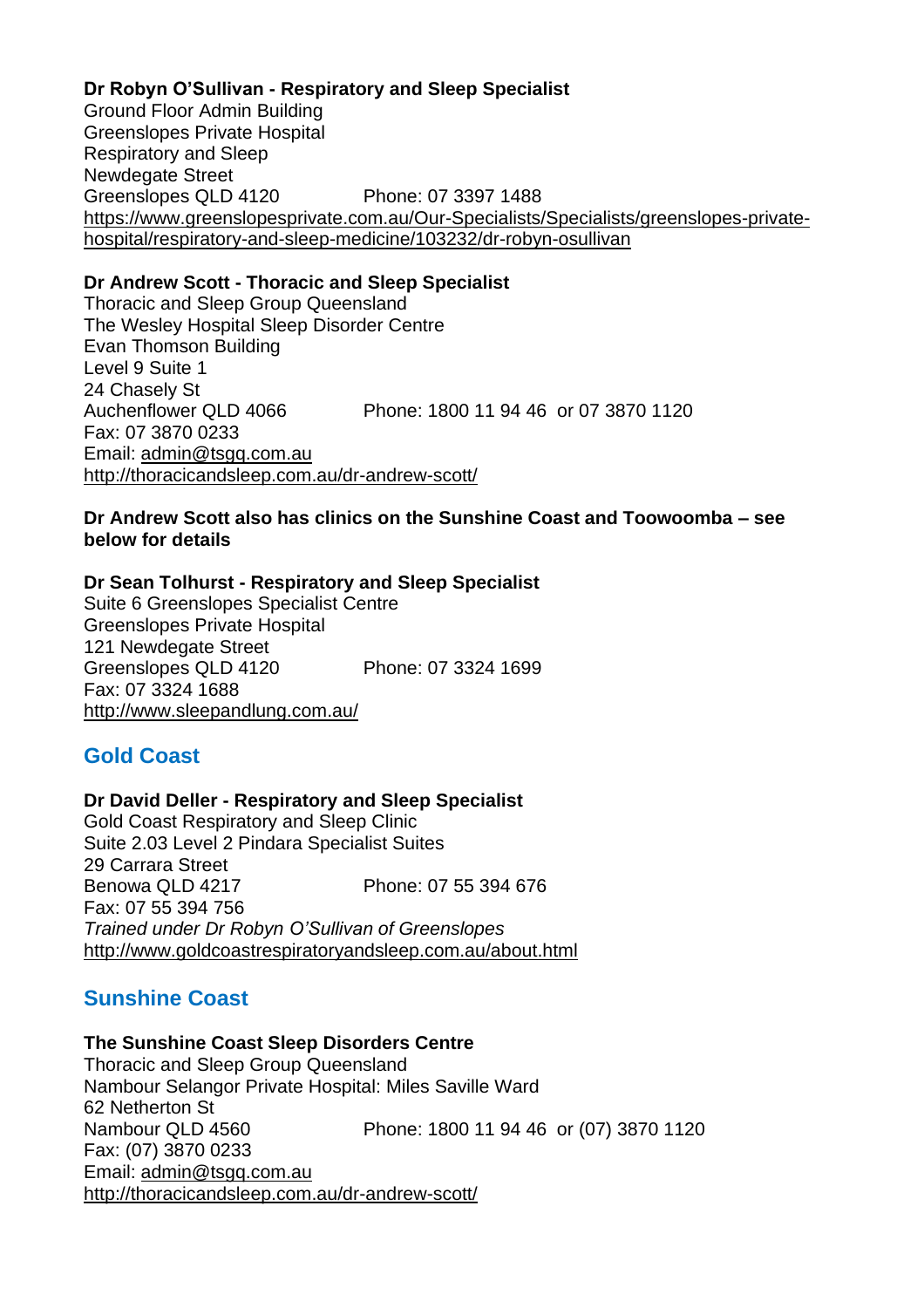#### **Dr Robyn O'Sullivan - Respiratory and Sleep Specialist** Ground Floor Admin Building Greenslopes Private Hospital Respiratory and Sleep Newdegate Street Greenslopes QLD 4120 Phone: 07 3397 1488 [https://www.greenslopesprivate.com.au/Our-Specialists/Specialists/greenslopes-private](https://www.greenslopesprivate.com.au/Our-Specialists/Specialists/greenslopes-private-hospital/respiratory-and-sleep-medicine/103232/dr-robyn-osullivan)[hospital/respiratory-and-sleep-medicine/103232/dr-robyn-osullivan](https://www.greenslopesprivate.com.au/Our-Specialists/Specialists/greenslopes-private-hospital/respiratory-and-sleep-medicine/103232/dr-robyn-osullivan)

### **Dr Andrew Scott - Thoracic and Sleep Specialist**

Thoracic and Sleep Group Queensland The Wesley Hospital Sleep Disorder Centre Evan Thomson Building Level 9 Suite 1 24 Chasely St Auchenflower QLD 4066 Phone: 1800 11 94 46 or 07 3870 1120 Fax: 07 3870 0233 Email: [admin@tsgq.com.au](mailto:admin@tsgq.com.au) <http://thoracicandsleep.com.au/dr-andrew-scott/>

#### **Dr Andrew Scott also has clinics on the Sunshine Coast and Toowoomba – see below for details**

#### **Dr Sean Tolhurst - Respiratory and Sleep Specialist**

Suite 6 Greenslopes Specialist Centre Greenslopes Private Hospital 121 Newdegate Street Greenslopes QLD 4120 Phone: 07 3324 1699 Fax: 07 3324 1688 <http://www.sleepandlung.com.au/>

# **Gold Coast**

#### **Dr David Deller - Respiratory and Sleep Specialist**

Gold Coast Respiratory and Sleep Clinic Suite 2.03 Level 2 Pindara Specialist Suites 29 Carrara Street Benowa QLD 4217 Phone: 07 55 394 676 Fax: 07 55 394 756 *Trained under Dr Robyn O'Sullivan of Greenslopes*  <http://www.goldcoastrespiratoryandsleep.com.au/about.html>

# **Sunshine Coast**

#### **The Sunshine Coast Sleep Disorders Centre**

Thoracic and Sleep Group Queensland Nambour Selangor Private Hospital: Miles Saville Ward 62 Netherton St Nambour QLD 4560 Phone: 1800 11 94 46 or (07) 3870 1120 Fax: (07) 3870 0233 Email: [admin@tsgq.com.au](mailto:admin@tsgq.com.au) <http://thoracicandsleep.com.au/dr-andrew-scott/>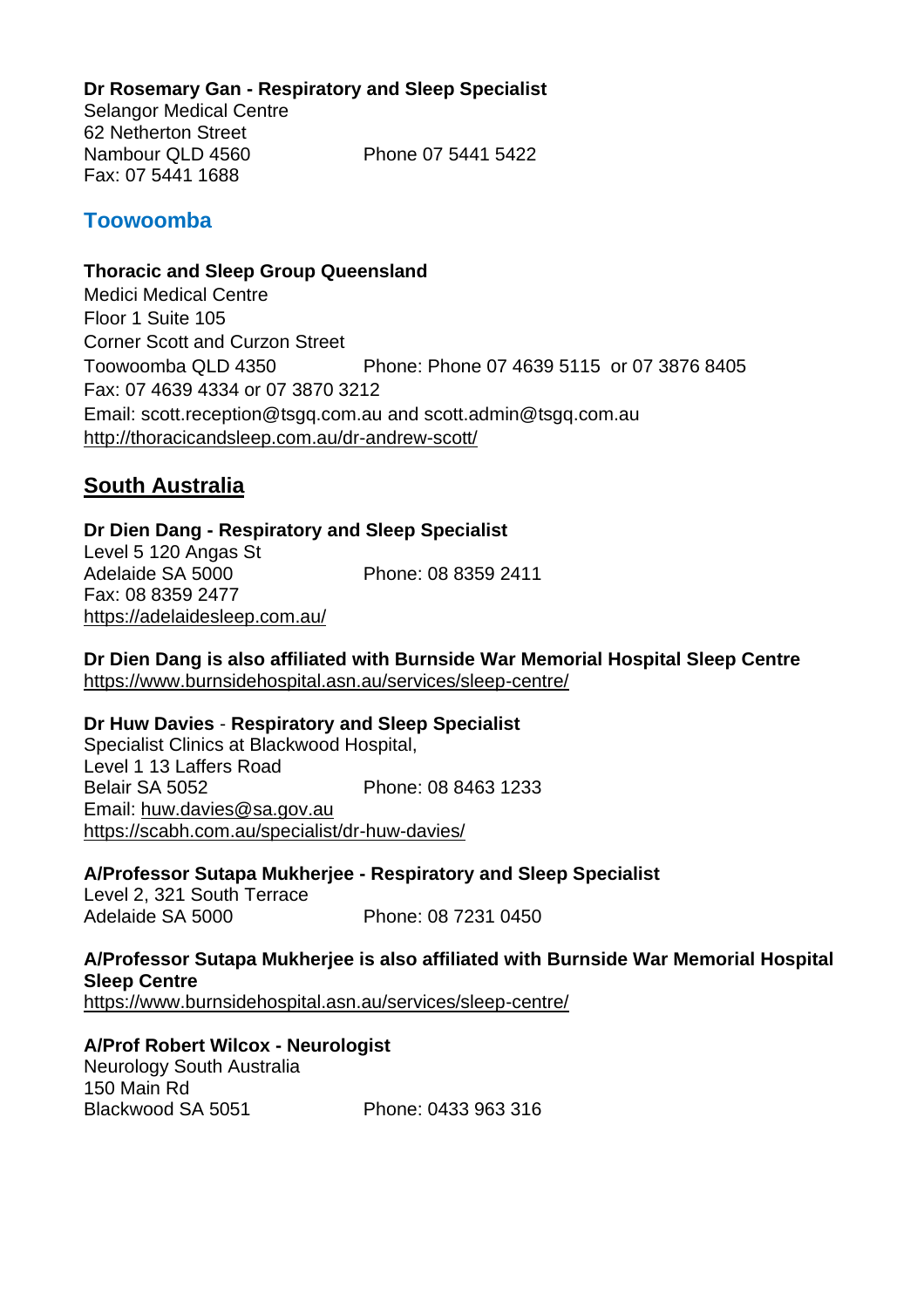### **Dr Rosemary Gan - Respiratory and Sleep Specialist**

Selangor Medical Centre 62 Netherton Street Nambour QLD 4560 Phone 07 5441 5422 Fax: 07 5441 1688

## **Toowoomba**

#### **Thoracic and Sleep Group Queensland**

Medici Medical Centre Floor 1 Suite 105 Corner Scott and Curzon Street Toowoomba QLD 4350 Phone: Phone 07 4639 5115 or 07 3876 8405 Fax: 07 4639 4334 or 07 3870 3212 Email: [scott.reception@tsgq.com.au](mailto:scott.reception@tsgq.com.au) and [scott.admin@tsgq.com.au](mailto:scott.admin@tsgq.com.au) <http://thoracicandsleep.com.au/dr-andrew-scott/>

## **South Australia**

**Dr Dien Dang - Respiratory and Sleep Specialist** Level 5 120 Angas St<br>Adelaide SA 5000 Phone: 08 8359 2411 Fax: 08 8359 2477 <https://adelaidesleep.com.au/>

**Dr Dien Dang is also affiliated with Burnside War Memorial Hospital Sleep Centre** <https://www.burnsidehospital.asn.au/services/sleep-centre/>

#### **Dr Huw Davies** - **Respiratory and Sleep Specialist**

Specialist Clinics at Blackwood Hospital, Level 1 13 Laffers Road Belair SA 5052 Phone: 08 8463 1233 Email: [huw.davies@sa.gov.au](mailto:huw.davies@sa.gov.au) <https://scabh.com.au/specialist/dr-huw-davies/>

**A/Professor Sutapa Mukherjee - Respiratory and Sleep Specialist** Level 2, 321 South Terrace

Adelaide SA 5000 Phone: 08 7231 0450

**A/Professor Sutapa Mukherjee is also affiliated with Burnside War Memorial Hospital Sleep Centre** <https://www.burnsidehospital.asn.au/services/sleep-centre/>

### **A/Prof Robert Wilcox - Neurologist** Neurology South Australia

150 Main Rd Blackwood SA 5051 Phone: 0433 963 316